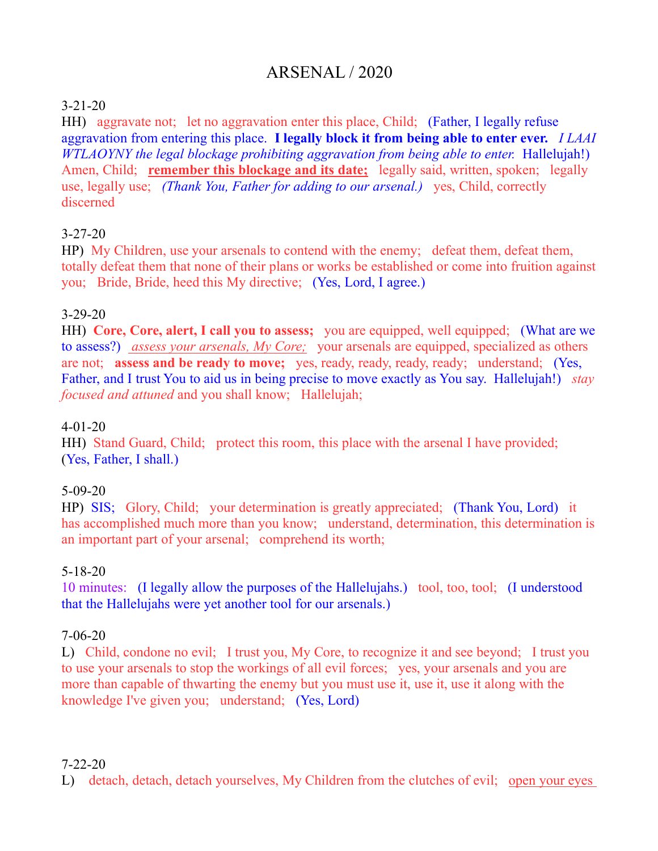# ARSENAL / 2020

# 3-21-20

HH) aggravate not; let no aggravation enter this place, Child; (Father, I legally refuse aggravation from entering this place. **I legally block it from being able to enter ever.** *I LAAI WTLAOYNY the legal blockage prohibiting aggravation from being able to enter.* Hallelujah!) Amen, Child; **remember this blockage and its date;** legally said, written, spoken; legally use, legally use; *(Thank You, Father for adding to our arsenal.)* yes, Child, correctly discerned

## 3-27-20

HP) My Children, use your arsenals to contend with the enemy; defeat them, defeat them, totally defeat them that none of their plans or works be established or come into fruition against you; Bride, Bride, heed this My directive; (Yes, Lord, I agree.)

# 3-29-20

HH) **Core, Core, alert, I call you to assess;** you are equipped, well equipped; (What are we to assess?) *assess your arsenals, My Core;* your arsenals are equipped, specialized as others are not; **assess and be ready to move;** yes, ready, ready, ready, ready; understand; (Yes, Father, and I trust You to aid us in being precise to move exactly as You say. Hallelujah!) *stay focused and attuned* and you shall know; Hallelujah;

#### 4-01-20

HH) Stand Guard, Child; protect this room, this place with the arsenal I have provided; (Yes, Father, I shall.)

# 5-09-20

HP) SIS; Glory, Child; your determination is greatly appreciated; (Thank You, Lord) it has accomplished much more than you know; understand, determination, this determination is an important part of your arsenal; comprehend its worth;

#### 5-18-20

10 minutes: (I legally allow the purposes of the Hallelujahs.) tool, too, tool; (I understood that the Hallelujahs were yet another tool for our arsenals.)

# 7-06-20

L) Child, condone no evil; I trust you, My Core, to recognize it and see beyond; I trust you to use your arsenals to stop the workings of all evil forces; yes, your arsenals and you are more than capable of thwarting the enemy but you must use it, use it, use it along with the knowledge I've given you; understand; (Yes, Lord)

#### 7-22-20

L) detach, detach, detach yourselves, My Children from the clutches of evil; open your eyes